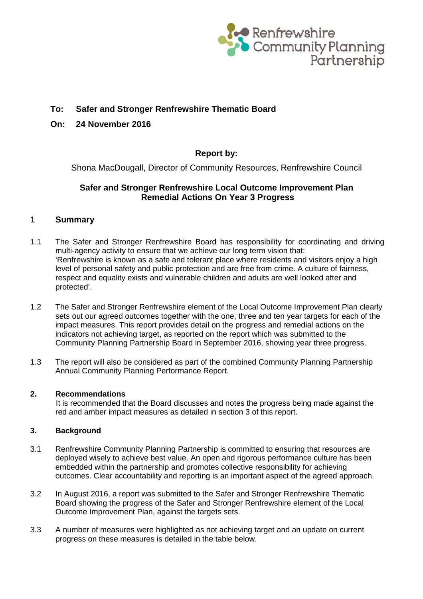

# **To: Safer and Stronger Renfrewshire Thematic Board**

### **On: 24 November 2016**

## **Report by:**

Shona MacDougall, Director of Community Resources, Renfrewshire Council

## **Safer and Stronger Renfrewshire Local Outcome Improvement Plan Remedial Actions On Year 3 Progress**

### 1 **Summary**

- 1.1 The Safer and Stronger Renfrewshire Board has responsibility for coordinating and driving multi-agency activity to ensure that we achieve our long term vision that: 'Renfrewshire is known as a safe and tolerant place where residents and visitors enjoy a high level of personal safety and public protection and are free from crime. A culture of fairness, respect and equality exists and vulnerable children and adults are well looked after and protected'.
- 1.2 The Safer and Stronger Renfrewshire element of the Local Outcome Improvement Plan clearly sets out our agreed outcomes together with the one, three and ten year targets for each of the impact measures. This report provides detail on the progress and remedial actions on the indicators not achieving target, as reported on the report which was submitted to the Community Planning Partnership Board in September 2016, showing year three progress.
- 1.3 The report will also be considered as part of the combined Community Planning Partnership Annual Community Planning Performance Report.

### **2. Recommendations**

It is recommended that the Board discusses and notes the progress being made against the red and amber impact measures as detailed in section 3 of this report.

### **3. Background**

- 3.1 Renfrewshire Community Planning Partnership is committed to ensuring that resources are deployed wisely to achieve best value. An open and rigorous performance culture has been embedded within the partnership and promotes collective responsibility for achieving outcomes. Clear accountability and reporting is an important aspect of the agreed approach.
- 3.2 In August 2016, a report was submitted to the Safer and Stronger Renfrewshire Thematic Board showing the progress of the Safer and Stronger Renfrewshire element of the Local Outcome Improvement Plan, against the targets sets.
- 3.3 A number of measures were highlighted as not achieving target and an update on current progress on these measures is detailed in the table below.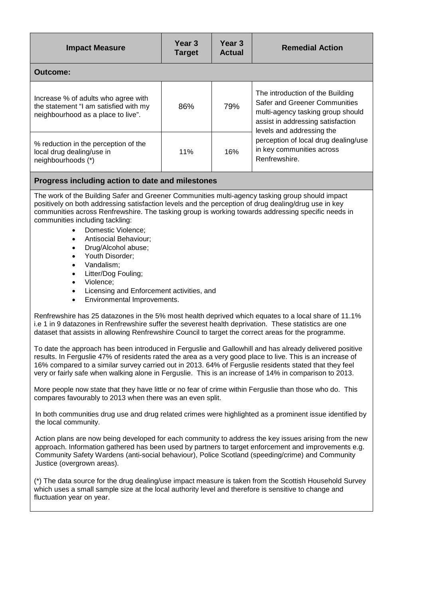| <b>Impact Measure</b>                                                                                              | Year <sub>3</sub><br><b>Target</b> | Year <sub>3</sub><br><b>Actual</b> | <b>Remedial Action</b>                                                                                                                                                                                                                                                |  |  |
|--------------------------------------------------------------------------------------------------------------------|------------------------------------|------------------------------------|-----------------------------------------------------------------------------------------------------------------------------------------------------------------------------------------------------------------------------------------------------------------------|--|--|
| Outcome:                                                                                                           |                                    |                                    |                                                                                                                                                                                                                                                                       |  |  |
| Increase % of adults who agree with<br>the statement "I am satisfied with my<br>neighbourhood as a place to live". | 86%                                | 79%                                | The introduction of the Building<br><b>Safer and Greener Communities</b><br>multi-agency tasking group should<br>assist in addressing satisfaction<br>levels and addressing the<br>perception of local drug dealing/use<br>in key communities across<br>Renfrewshire. |  |  |
| % reduction in the perception of the<br>local drug dealing/use in<br>neighbourhoods (*)                            | 11%                                | 16%                                |                                                                                                                                                                                                                                                                       |  |  |

#### **Progress including action to date and milestones**

The work of the Building Safer and Greener Communities multi-agency tasking group should impact positively on both addressing satisfaction levels and the perception of drug dealing/drug use in key communities across Renfrewshire. The tasking group is working towards addressing specific needs in communities including tackling:

- Domestic Violence;
- Antisocial Behaviour;
- Drug/Alcohol abuse;
- Youth Disorder:
- Vandalism;
- Litter/Dog Fouling;
- Violence;
- Licensing and Enforcement activities, and
- Environmental Improvements.

Renfrewshire has 25 datazones in the 5% most health deprived which equates to a local share of 11.1% i.e 1 in 9 datazones in Renfrewshire suffer the severest health deprivation. These statistics are one dataset that assists in allowing Renfrewshire Council to target the correct areas for the programme.

To date the approach has been introduced in Ferguslie and Gallowhill and has already delivered positive results. In Ferguslie 47% of residents rated the area as a very good place to live. This is an increase of 16% compared to a similar survey carried out in 2013. 64% of Ferguslie residents stated that they feel very or fairly safe when walking alone in Ferguslie. This is an increase of 14% in comparison to 2013.

More people now state that they have little or no fear of crime within Ferguslie than those who do. This compares favourably to 2013 when there was an even split.

In both communities drug use and drug related crimes were highlighted as a prominent issue identified by the local community.

Action plans are now being developed for each community to address the key issues arising from the new approach. Information gathered has been used by partners to target enforcement and improvements e.g. Community Safety Wardens (anti-social behaviour), Police Scotland (speeding/crime) and Community Justice (overgrown areas).

(\*) The data source for the drug dealing/use impact measure is taken from the Scottish Household Survey which uses a small sample size at the local authority level and therefore is sensitive to change and fluctuation year on year.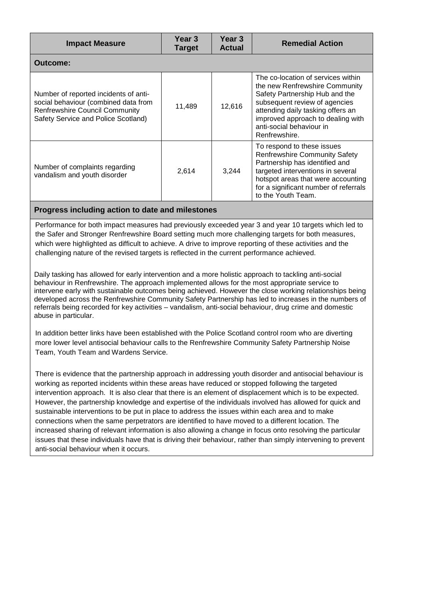| <b>Impact Measure</b>                                                                                                                                         | Year 3<br><b>Target</b> | Year 3<br><b>Actual</b> | <b>Remedial Action</b>                                                                                                                                                                                                                                         |  |  |  |
|---------------------------------------------------------------------------------------------------------------------------------------------------------------|-------------------------|-------------------------|----------------------------------------------------------------------------------------------------------------------------------------------------------------------------------------------------------------------------------------------------------------|--|--|--|
| Outcome:                                                                                                                                                      |                         |                         |                                                                                                                                                                                                                                                                |  |  |  |
| Number of reported incidents of anti-<br>social behaviour (combined data from<br><b>Renfrewshire Council Community</b><br>Safety Service and Police Scotland) | 11,489                  | 12,616                  | The co-location of services within<br>the new Renfrewshire Community<br>Safety Partnership Hub and the<br>subsequent review of agencies<br>attending daily tasking offers an<br>improved approach to dealing with<br>anti-social behaviour in<br>Renfrewshire. |  |  |  |
| Number of complaints regarding<br>vandalism and youth disorder                                                                                                | 2,614                   | 3.244                   | To respond to these issues<br><b>Renfrewshire Community Safety</b><br>Partnership has identified and<br>targeted interventions in several<br>hotspot areas that were accounting<br>for a significant number of referrals<br>to the Youth Team.                 |  |  |  |

### **Progress including action to date and milestones**

Performance for both impact measures had previously exceeded year 3 and year 10 targets which led to the Safer and Stronger Renfrewshire Board setting much more challenging targets for both measures, which were highlighted as difficult to achieve. A drive to improve reporting of these activities and the challenging nature of the revised targets is reflected in the current performance achieved.

Daily tasking has allowed for early intervention and a more holistic approach to tackling anti-social behaviour in Renfrewshire. The approach implemented allows for the most appropriate service to intervene early with sustainable outcomes being achieved. However the close working relationships being developed across the Renfrewshire Community Safety Partnership has led to increases in the numbers of referrals being recorded for key activities – vandalism, anti-social behaviour, drug crime and domestic abuse in particular.

In addition better links have been established with the Police Scotland control room who are diverting more lower level antisocial behaviour calls to the Renfrewshire Community Safety Partnership Noise Team, Youth Team and Wardens Service.

There is evidence that the partnership approach in addressing youth disorder and antisocial behaviour is working as reported incidents within these areas have reduced or stopped following the targeted intervention approach. It is also clear that there is an element of displacement which is to be expected. However, the partnership knowledge and expertise of the individuals involved has allowed for quick and sustainable interventions to be put in place to address the issues within each area and to make connections when the same perpetrators are identified to have moved to a different location. The increased sharing of relevant information is also allowing a change in focus onto resolving the particular issues that these individuals have that is driving their behaviour, rather than simply intervening to prevent anti-social behaviour when it occurs.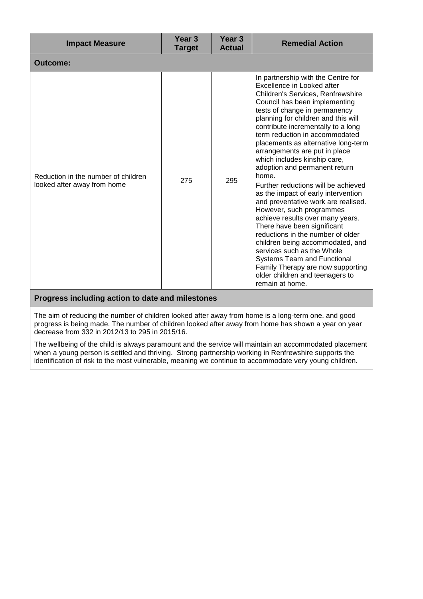| <b>Impact Measure</b>                                              | Year <sub>3</sub><br><b>Target</b> | Year <sub>3</sub><br><b>Actual</b> | <b>Remedial Action</b>                                                                                                                                                                                                                                                                                                                                                                                                                                                                                                                                                                                                                                                                                                                                                                                                                                                                                      |  |  |  |  |
|--------------------------------------------------------------------|------------------------------------|------------------------------------|-------------------------------------------------------------------------------------------------------------------------------------------------------------------------------------------------------------------------------------------------------------------------------------------------------------------------------------------------------------------------------------------------------------------------------------------------------------------------------------------------------------------------------------------------------------------------------------------------------------------------------------------------------------------------------------------------------------------------------------------------------------------------------------------------------------------------------------------------------------------------------------------------------------|--|--|--|--|
| <b>Outcome:</b>                                                    |                                    |                                    |                                                                                                                                                                                                                                                                                                                                                                                                                                                                                                                                                                                                                                                                                                                                                                                                                                                                                                             |  |  |  |  |
| Reduction in the number of children<br>looked after away from home | 275                                | 295                                | In partnership with the Centre for<br>Excellence in Looked after<br><b>Children's Services, Renfrewshire</b><br>Council has been implementing<br>tests of change in permanency<br>planning for children and this will<br>contribute incrementally to a long<br>term reduction in accommodated<br>placements as alternative long-term<br>arrangements are put in place<br>which includes kinship care,<br>adoption and permanent return<br>home.<br>Further reductions will be achieved<br>as the impact of early intervention<br>and preventative work are realised.<br>However, such programmes<br>achieve results over many years.<br>There have been significant<br>reductions in the number of older<br>children being accommodated, and<br>services such as the Whole<br><b>Systems Team and Functional</b><br>Family Therapy are now supporting<br>older children and teenagers to<br>remain at home. |  |  |  |  |
| Progress including action to date and milestones                   |                                    |                                    |                                                                                                                                                                                                                                                                                                                                                                                                                                                                                                                                                                                                                                                                                                                                                                                                                                                                                                             |  |  |  |  |

The aim of reducing the number of children looked after away from home is a long-term one, and good progress is being made. The number of children looked after away from home has shown a year on year decrease from 332 in 2012/13 to 295 in 2015/16.

The wellbeing of the child is always paramount and the service will maintain an accommodated placement when a young person is settled and thriving. Strong partnership working in Renfrewshire supports the identification of risk to the most vulnerable, meaning we continue to accommodate very young children.